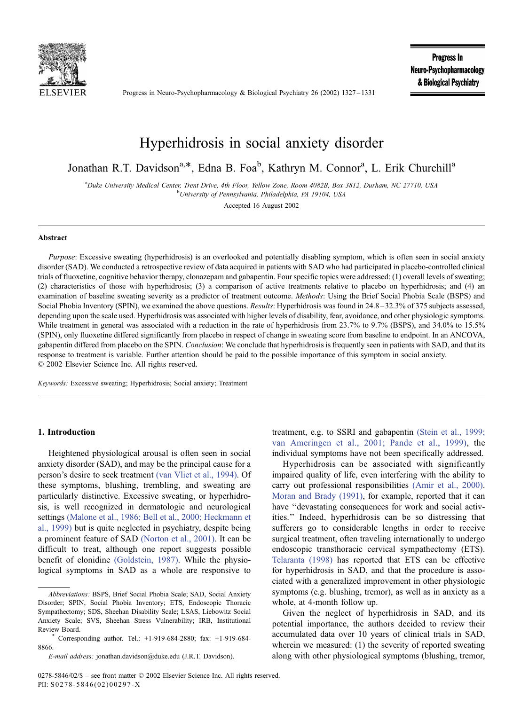

Progress in Neuro-Psychopharmacology & Biological Psychiatry 26 (2002) 1327 – 1331

Progress In Neuro-Psychopharmacology & Biological Psychiatry

# Hyperhidrosis in social anxiety disorder

Jonathan R.T. Davidson<sup>a,\*</sup>, Edna B. Foa<sup>b</sup>, Kathryn M. Connor<sup>a</sup>, L. Erik Churchill<sup>a</sup>

<sup>a</sup>Duke University Medical Center, Trent Drive, 4th Floor, Yellow Zone, Room 4082B, Box 3812, Durham, NC 27710, USA<br><sup>b</sup>Ulgiversity of Pannsylvania, Philadelphia, PA 10104, USA <sup>b</sup>University of Pennsylvania, Philadelphia, PA 19104, USA

Accepted 16 August 2002

## Abstract

Purpose: Excessive sweating (hyperhidrosis) is an overlooked and potentially disabling symptom, which is often seen in social anxiety disorder (SAD). We conducted a retrospective review of data acquired in patients with SAD who had participated in placebo-controlled clinical trials of fluoxetine, cognitive behavior therapy, clonazepam and gabapentin. Four specific topics were addressed: (1) overall levels of sweating; (2) characteristics of those with hyperhidrosis; (3) a comparison of active treatments relative to placebo on hyperhidrosis; and (4) an examination of baseline sweating severity as a predictor of treatment outcome. Methods: Using the Brief Social Phobia Scale (BSPS) and Social Phobia Inventory (SPIN), we examined the above questions. Results: Hyperhidrosis was found in 24.8 – 32.3% of 375 subjects assessed, depending upon the scale used. Hyperhidrosis was associated with higher levels of disability, fear, avoidance, and other physiologic symptoms. While treatment in general was associated with a reduction in the rate of hyperhidrosis from 23.7% to 9.7% (BSPS), and 34.0% to 15.5% (SPIN), only fluoxetine differed significantly from placebo in respect of change in sweating score from baseline to endpoint. In an ANCOVA, gabapentin differed from placebo on the SPIN. Conclusion: We conclude that hyperhidrosis is frequently seen in patients with SAD, and that its response to treatment is variable. Further attention should be paid to the possible importance of this symptom in social anxiety.  $© 2002 Elsevier Science Inc. All rights reserved.$ 

Keywords: Excessive sweating; Hyperhidrosis; Social anxiety; Treatment

## 1. Introduction

Heightened physiological arousal is often seen in social anxiety disorder (SAD), and may be the principal cause for a person's desire to seek treatment [\(van Vliet et al., 1994\).](#page-4-0) Of these symptoms, blushing, trembling, and sweating are particularly distinctive. Excessive sweating, or hyperhidrosis, is well recognized in dermatologic and neurological settings [\(Malone et al., 1986; Bell et al., 2000; Heckmann et](#page-4-0) al., 1999) but is quite neglected in psychiatry, despite being a prominent feature of SAD [\(Norton et al., 2001\).](#page-4-0) It can be difficult to treat, although one report suggests possible benefit of clonidine [\(Goldstein, 1987\).](#page-4-0) While the physiological symptoms in SAD as a whole are responsive to

treatment, e.g. to SSRI and gabapentin [\(Stein et al., 1999;](#page-4-0) van Ameringen et al., 2001; Pande et al., 1999), the individual symptoms have not been specifically addressed.

Hyperhidrosis can be associated with significantly impaired quality of life, even interfering with the ability to carry out professional responsibilities [\(Amir et al., 2000\).](#page-4-0) [Moran and Brady \(1991\),](#page-4-0) for example, reported that it can have ''devastating consequences for work and social activities.'' Indeed, hyperhidrosis can be so distressing that sufferers go to considerable lengths in order to receive surgical treatment, often traveling internationally to undergo endoscopic transthoracic cervical sympathectomy (ETS). [Telaranta \(1998\)](#page-4-0) has reported that ETS can be effective for hyperhidrosis in SAD, and that the procedure is associated with a generalized improvement in other physiologic symptoms (e.g. blushing, tremor), as well as in anxiety as a whole, at 4-month follow up.

Given the neglect of hyperhidrosis in SAD, and its potential importance, the authors decided to review their accumulated data over 10 years of clinical trials in SAD, wherein we measured: (1) the severity of reported sweating along with other physiological symptoms (blushing, tremor,

Abbreviations: BSPS, Brief Social Phobia Scale; SAD, Social Anxiety Disorder; SPIN, Social Phobia Inventory; ETS, Endoscopic Thoracic Sympathectomy; SDS, Sheehan Disability Scale; LSAS, Liebowitz Social Anxiety Scale; SVS, Sheehan Stress Vulnerability; IRB, Institutional Review Board. \* Corresponding author. Tel.: +1-919-684-2880; fax: +1-919-684-

<sup>8866.</sup>

E-mail address: jonathan.davidson@duke.edu (J.R.T. Davidson).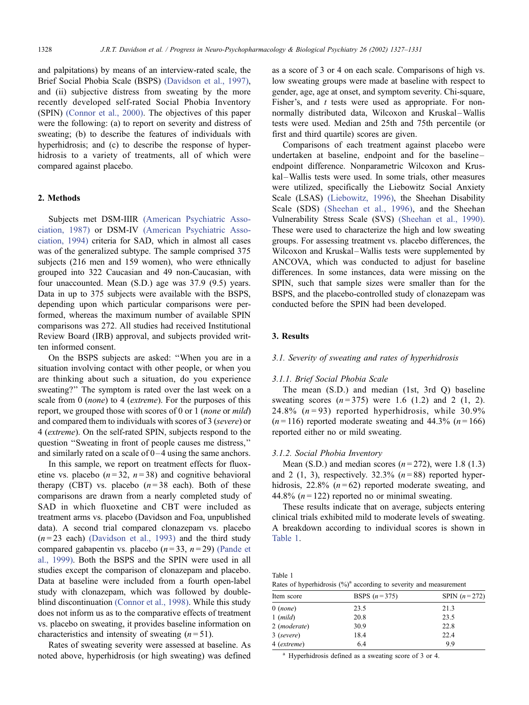and palpitations) by means of an interview-rated scale, the Brief Social Phobia Scale (BSPS) [\(Davidson et al., 1997\),](#page-4-0) and (ii) subjective distress from sweating by the more recently developed self-rated Social Phobia Inventory (SPIN) [\(Connor et al., 2000\).](#page-4-0) The objectives of this paper were the following: (a) to report on severity and distress of sweating; (b) to describe the features of individuals with hyperhidrosis; and (c) to describe the response of hyperhidrosis to a variety of treatments, all of which were compared against placebo.

## 2. Methods

Subjects met DSM-IIIR [\(American Psychiatric Asso](#page-4-0)ciation, 1987) or DSM-IV [\(American Psychiatric Asso](#page-4-0)ciation, 1994) criteria for SAD, which in almost all cases was of the generalized subtype. The sample comprised 375 subjects (216 men and 159 women), who were ethnically grouped into 322 Caucasian and 49 non-Caucasian, with four unaccounted. Mean (S.D.) age was 37.9 (9.5) years. Data in up to 375 subjects were available with the BSPS, depending upon which particular comparisons were performed, whereas the maximum number of available SPIN comparisons was 272. All studies had received Institutional Review Board (IRB) approval, and subjects provided written informed consent.

On the BSPS subjects are asked: ''When you are in a situation involving contact with other people, or when you are thinking about such a situation, do you experience sweating?'' The symptom is rated over the last week on a scale from 0 (none) to 4 (extreme). For the purposes of this report, we grouped those with scores of 0 or 1 (none or mild) and compared them to individuals with scores of 3 (severe) or 4 (extreme). On the self-rated SPIN, subjects respond to the question ''Sweating in front of people causes me distress,'' and similarly rated on a scale of  $0-4$  using the same anchors.

In this sample, we report on treatment effects for fluoxetine vs. placebo  $(n=32, n=38)$  and cognitive behavioral therapy (CBT) vs. placebo  $(n=38 \text{ each})$ . Both of these comparisons are drawn from a nearly completed study of SAD in which fluoxetine and CBT were included as treatment arms vs. placebo (Davidson and Foa, unpublished data). A second trial compared clonazepam vs. placebo  $(n=23 \text{ each})$  [\(Davidson et al., 1993\)](#page-4-0) and the third study compared gabapentin vs. placebo  $(n=33, n=29)$  [\(Pande et](#page-4-0) al., 1999). Both the BSPS and the SPIN were used in all studies except the comparison of clonazepam and placebo. Data at baseline were included from a fourth open-label study with clonazepam, which was followed by doubleblind discontinuation [\(Connor et al., 1998\).](#page-4-0) While this study does not inform us as to the comparative effects of treatment vs. placebo on sweating, it provides baseline information on characteristics and intensity of sweating  $(n=51)$ .

Rates of sweating severity were assessed at baseline. As noted above, hyperhidrosis (or high sweating) was defined as a score of 3 or 4 on each scale. Comparisons of high vs. low sweating groups were made at baseline with respect to gender, age, age at onset, and symptom severity. Chi-square, Fisher's, and *t* tests were used as appropriate. For nonnormally distributed data, Wilcoxon and Kruskal-Wallis tests were used. Median and 25th and 75th percentile (or first and third quartile) scores are given.

Comparisons of each treatment against placebo were undertaken at baseline, endpoint and for the baseline – endpoint difference. Nonparametric Wilcoxon and Kruskal-Wallis tests were used. In some trials, other measures were utilized, specifically the Liebowitz Social Anxiety Scale (LSAS) [\(Liebowitz, 1996\),](#page-4-0) the Sheehan Disability Scale (SDS) [\(Sheehan et al., 1996\),](#page-4-0) and the Sheehan Vulnerability Stress Scale (SVS) [\(Sheehan et al., 1990\).](#page-4-0) These were used to characterize the high and low sweating groups. For assessing treatment vs. placebo differences, the Wilcoxon and Kruskal–Wallis tests were supplemented by ANCOVA, which was conducted to adjust for baseline differences. In some instances, data were missing on the SPIN, such that sample sizes were smaller than for the BSPS, and the placebo-controlled study of clonazepam was conducted before the SPIN had been developed.

## 3. Results

## 3.1. Severity of sweating and rates of hyperhidrosis

### 3.1.1. Brief Social Phobia Scale

The mean (S.D.) and median (1st, 3rd Q) baseline sweating scores  $(n=375)$  were 1.6 (1.2) and 2 (1, 2). 24.8%  $(n=93)$  reported hyperhidrosis, while 30.9%  $(n=116)$  reported moderate sweating and 44.3%  $(n=166)$ reported either no or mild sweating.

#### 3.1.2. Social Phobia Inventory

Mean (S.D.) and median scores  $(n=272)$ , were 1.8 (1.3) and 2 (1, 3), respectively.  $32.3\%$  ( $n = 88$ ) reported hyperhidrosis, 22.8%  $(n=62)$  reported moderate sweating, and 44.8%  $(n = 122)$  reported no or minimal sweating.

These results indicate that on average, subjects entering clinical trials exhibited mild to moderate levels of sweating. A breakdown according to individual scores is shown in Table 1.

| Table 1 |                                                                       |  |
|---------|-----------------------------------------------------------------------|--|
|         | Rates of hyperhidrosis $(\%)^a$ according to severity and measurement |  |

| Item score   | BSPS $(n=375)$ | SPIN $(n=272)$ |
|--------------|----------------|----------------|
| $0 \ (none)$ | 23.5           | 21.3           |
| $1 \ (mild)$ | 20.8           | 23.5           |
| 2 (moderate) | 30.9           | 22.8           |
| 3 (severe)   | 18.4           | 22.4           |
| 4 (extreme)  | 6.4            | 99             |

<sup>a</sup> Hyperhidrosis defined as a sweating score of 3 or 4.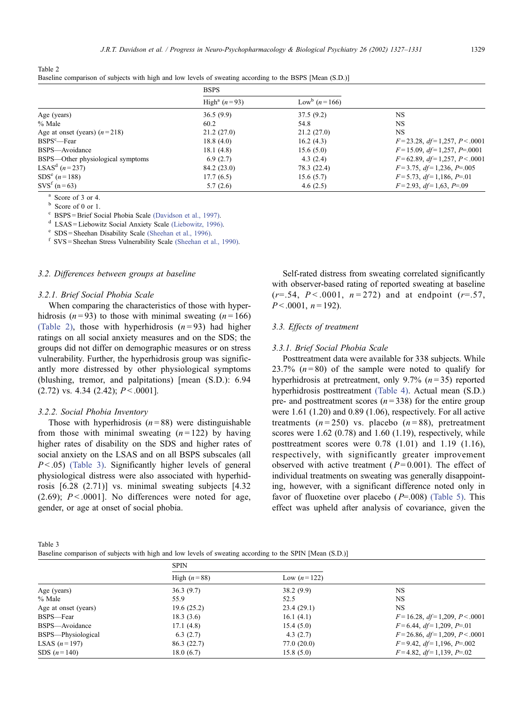| Table 2                                                                                                  |  |  |  |  |
|----------------------------------------------------------------------------------------------------------|--|--|--|--|
| Baseline comparison of subjects with high and low levels of sweating according to the BSPS [Mean (S.D.)] |  |  |  |  |

|                                   | <b>BSPS</b>                |                                   |                                  |
|-----------------------------------|----------------------------|-----------------------------------|----------------------------------|
|                                   | High <sup>a</sup> $(n=93)$ | Low <sup>b</sup> ( <i>n</i> =166) |                                  |
| Age (years)                       | 36.5(9.9)                  | 37.5(9.2)                         | <b>NS</b>                        |
| % Male                            | 60.2                       | 54.8                              | <b>NS</b>                        |
| Age at onset (years) $(n=218)$    | 21.2(27.0)                 | 21.2(27.0)                        | <b>NS</b>                        |
| $BSPS^c$ —Fear                    | 18.8(4.0)                  | 16.2(4.3)                         | $F=23.28, df=1,257, P<.0001$     |
| BSPS-Avoidance                    | 18.1(4.8)                  | 15.6(5.0)                         | $F=15.09, df=1,257, P=.0001$     |
| BSPS—Other physiological symptoms | 6.9(2.7)                   | 4.3(2.4)                          | $F=62.89, df=1,257, P<.0001$     |
| LSAS <sup>d</sup> $(n=237)$       | 84.2(23.0)                 | 78.3 (22.4)                       | $F=3.75$ , $df=1,236$ , $P=.005$ |
| $SDS^{e} (n=188)$                 | 17.7(6.5)                  | 15.6(5.7)                         | $F=5.73, df=1,186, P=.01$        |
| $SVSf$ (n = 63)                   | 5.7(2.6)                   | 4.6(2.5)                          | $F=2.93, df=1,63, P=.09$         |

<sup>a</sup> Score of 3 or 4.<br><sup>b</sup> Score of 0 or 1.<br><sup>c</sup> [BSPS = Brief Social Phobia Scale](#page-4-0) (Davidson et al., 1997).

<sup>d</sup> [LSAS = Liebowitz Social Anxiety Scale](#page-4-0) (Liebowitz, 1996).<br>
<sup>e</sup> [SDS = Sheehan Disability Scale](#page-4-0) (Sheehan et al., 1990).<br>
<sup>f</sup> [SVS = Sheehan Stress Vulnerability Scale](#page-4-0) (Sheehan et al., 1990).

## 3.2. Differences between groups at baseline

#### 3.2.1. Brief Social Phobia Scale

When comparing the characteristics of those with hyperhidrosis ( $n = 93$ ) to those with minimal sweating ( $n = 166$ ) (Table 2), those with hyperhidrosis  $(n=93)$  had higher ratings on all social anxiety measures and on the SDS; the groups did not differ on demographic measures or on stress vulnerability. Further, the hyperhidrosis group was significantly more distressed by other physiological symptoms (blushing, tremor, and palpitations) [mean (S.D.): 6.94  $(2.72)$  vs. 4.34  $(2.42)$ ;  $P < .0001$ ].

## 3.2.2. Social Phobia Inventory

Those with hyperhidrosis  $(n = 88)$  were distinguishable from those with minimal sweating  $(n = 122)$  by having higher rates of disability on the SDS and higher rates of social anxiety on the LSAS and on all BSPS subscales (all  $P < .05$ ) (Table 3). Significantly higher levels of general physiological distress were also associated with hyperhidrosis [6.28 (2.71)] vs. minimal sweating subjects [4.32 (2.69);  $P < 0.001$ ]. No differences were noted for age, gender, or age at onset of social phobia.

Self-rated distress from sweating correlated significantly with observer-based rating of reported sweating at baseline  $(r=.54, P<.0001, n=272)$  and at endpoint  $(r=.57, P<.0001, P<.0001)$  $P < .0001$ ,  $n = 192$ ).

## 3.3. Effects of treatment

### 3.3.1. Brief Social Phobia Scale

Posttreatment data were available for 338 subjects. While 23.7%  $(n=80)$  of the sample were noted to qualify for hyperhidrosis at pretreatment, only 9.7%  $(n=35)$  reported hyperhidrosis posttreatment [\(Table 4\).](#page-3-0) Actual mean (S.D.) pre- and posttreatment scores  $(n=338)$  for the entire group were 1.61 (1.20) and 0.89 (1.06), respectively. For all active treatments  $(n=250)$  vs. placebo  $(n=88)$ , pretreatment scores were 1.62 (0.78) and 1.60 (1.19), respectively, while posttreatment scores were 0.78 (1.01) and 1.19 (1.16), respectively, with significantly greater improvement observed with active treatment ( $P= 0.001$ ). The effect of individual treatments on sweating was generally disappointing, however, with a significant difference noted only in favor of fluoxetine over placebo  $(P=.008)$  [\(Table 5\).](#page-3-0) This effect was upheld after analysis of covariance, given the

| Table 3                                                                                                  |  |
|----------------------------------------------------------------------------------------------------------|--|
| Baseline comparison of subjects with high and low levels of sweating according to the SPIN [Mean (S.D.)] |  |

|                       | <b>SPIN</b>   |               |                                          |
|-----------------------|---------------|---------------|------------------------------------------|
|                       | High $(n=88)$ | Low $(n=122)$ |                                          |
| Age (years)           | 36.3(9.7)     | 38.2(9.9)     | <b>NS</b>                                |
| % Male                | 55.9          | 52.5          | <b>NS</b>                                |
| Age at onset (years)  | 19.6 (25.2)   | 23.4(29.1)    | <b>NS</b>                                |
| BSPS-Fear             | 18.3(3.6)     | 16.1(4.1)     | $F=16.28, df=1,209, P<.0001$             |
| BSPS-Avoidance        | 17.1(4.8)     | 15.4(5.0)     | $F=6.44, df=1,209, P=.01$                |
| BSPS-Physiological    | 6.3(2.7)      | 4.3(2.7)      | $F = 26.86$ , $df = 1,209$ , $P < .0001$ |
| <b>LSAS</b> $(n=197)$ | 86.3(22.7)    | 77.0(20.0)    | $F=9.42, df=1,196, P=.002$               |
| SDS $(n=140)$         | 18.0(6.7)     | 15.8(5.0)     | $F=4.82, df=1,139, P=.02$                |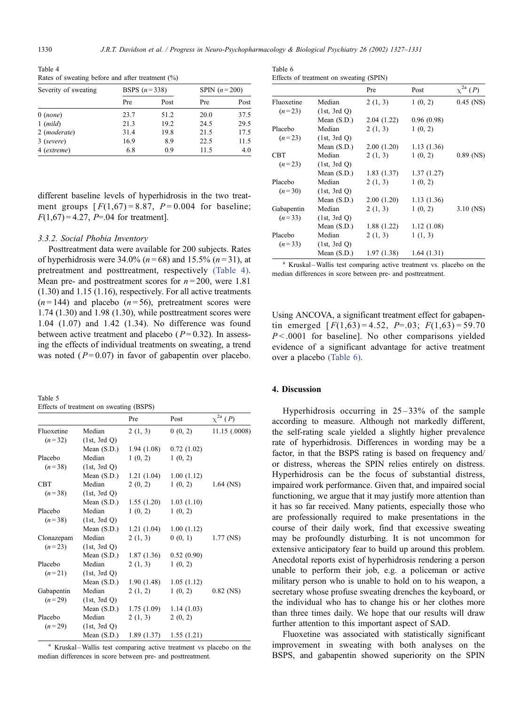<span id="page-3-0"></span>Table 4 Rates of sweating before and after treatment (%)

| Severity of sweating  | <b>BSPS</b> $(n=338)$ |      | SPIN $(n=200)$ |      |
|-----------------------|-----------------------|------|----------------|------|
|                       | Pre                   | Post | Pre            | Post |
| $0$ (none)            | 23.7                  | 51.2 | 20.0           | 37.5 |
| $1 \ (mild)$          | 21.3                  | 19.2 | 24.5           | 29.5 |
| 2 ( <i>moderate</i> ) | 31.4                  | 19.8 | 21.5           | 17.5 |
| 3 (severe)            | 16.9                  | 8.9  | 22.5           | 11.5 |
| 4 (extreme)           | 6.8                   | 0.9  | 11.5           | 4.0  |

different baseline levels of hyperhidrosis in the two treatment groups  $[F(1,67) = 8.87, P = 0.004$  for baseline;  $F(1,67) = 4.27$ , P=.04 for treatment.

#### 3.3.2. Social Phobia Inventory

Posttreatment data were available for 200 subjects. Rates of hyperhidrosis were 34.0% ( $n = 68$ ) and 15.5% ( $n = 31$ ), at pretreatment and posttreatment, respectively (Table 4). Mean pre- and posttreatment scores for  $n = 200$ , were 1.81 (1.30) and 1.15 (1.16), respectively. For all active treatments  $(n=144)$  and placebo  $(n=56)$ , pretreatment scores were 1.74 (1.30) and 1.98 (1.30), while posttreatment scores were 1.04 (1.07) and 1.42 (1.34). No difference was found between active treatment and placebo ( $P= 0.32$ ). In assessing the effects of individual treatments on sweating, a trend was noted ( $P = 0.07$ ) in favor of gabapentin over placebo.

| Table 5                                 |  |
|-----------------------------------------|--|
| Effects of treatment on sweating (BSPS) |  |

|            |               | Pre         | Post       | $\chi^{2a}$ ( <i>P</i> ) |
|------------|---------------|-------------|------------|--------------------------|
| Fluoxetine | Median        | 2(1, 3)     | 0(0, 2)    | 11.15 (.0008)            |
| $(n=32)$   | (1st, 3rd Q)  |             |            |                          |
|            | Mean (S.D.)   | 1.94(1.08)  | 0.72(1.02) |                          |
| Placebo    | Median        | 1(0, 2)     | 1(0, 2)    |                          |
| $(n=38)$   | (1st, 3rd Q)  |             |            |                          |
|            | Mean $(S.D.)$ | 1.21(1.04)  | 1.00(1.12) |                          |
| <b>CBT</b> | Median        | 2(0, 2)     | 1(0, 2)    | $1.64$ (NS)              |
| $(n=38)$   | (1st, 3rd Q)  |             |            |                          |
|            | Mean $(S.D.)$ | 1.55(1.20)  | 1.03(1.10) |                          |
| Placebo    | Median        | 1(0, 2)     | 1(0, 2)    |                          |
| $(n=38)$   | (1st, 3rd Q)  |             |            |                          |
|            | Mean $(S.D.)$ | 1.21(1.04)  | 1.00(1.12) |                          |
| Clonazepam | Median        | 2(1, 3)     | 0(0, 1)    | 1.77 (NS)                |
| $(n=23)$   | (1st, 3rd Q)  |             |            |                          |
|            | Mean $(S.D.)$ | 1.87(1.36)  | 0.52(0.90) |                          |
| Placebo    | Median        | 2(1, 3)     | 1(0, 2)    |                          |
| $(n=21)$   | (1st, 3rd Q)  |             |            |                          |
|            | Mean $(S.D.)$ | 1.90 (1.48) | 1.05(1.12) |                          |
| Gabapentin | Median        | 2(1, 2)     | 1(0, 2)    | $0.82$ (NS)              |
| $(n=29)$   | (1st, 3rd Q)  |             |            |                          |
|            | Mean $(S.D.)$ | 1.75(1.09)  | 1.14(1.03) |                          |
| Placebo    | Median        | 2(1, 3)     | 2(0, 2)    |                          |
| $(n=29)$   | (1st, 3rd Q)  |             |            |                          |
|            | Mean $(S.D.)$ | 1.89 (1.37) | 1.55(1.21) |                          |

<sup>a</sup> Kruskal-Wallis test comparing active treatment vs placebo on the median differences in score between pre- and posttreatment.

| Table 6                                 |  |
|-----------------------------------------|--|
| Effects of treatment on sweating (SPIN) |  |
|                                         |  |

|            |               | Pre         | Post        | $\chi^{2a}$ ( <i>P</i> ) |
|------------|---------------|-------------|-------------|--------------------------|
| Fluoxetine | Median        | 2(1, 3)     | 1(0, 2)     | $0.45$ (NS)              |
| $(n=23)$   | (1st, 3rd Q)  |             |             |                          |
|            | Mean $(S.D.)$ | 2.04(1.22)  | 0.96(0.98)  |                          |
| Placebo    | Median        | 2(1, 3)     | 1(0, 2)     |                          |
| $(n=23)$   | (1st, 3rd Q)  |             |             |                          |
|            | Mean $(S.D.)$ | 2.00(1.20)  | 1.13(1.36)  |                          |
| <b>CBT</b> | Median        | 2(1, 3)     | 1(0, 2)     | $0.89$ (NS)              |
| $(n=23)$   | (1st, 3rd O)  |             |             |                          |
|            | Mean $(S.D.)$ | 1.83(1.37)  | 1.37(1.27)  |                          |
| Placebo    | Median        | 2(1, 3)     | 1(0, 2)     |                          |
| $(n=30)$   | (1st, 3rd Q)  |             |             |                          |
|            | Mean $(S.D.)$ | 2.00(1.20)  | 1.13(1.36)  |                          |
| Gabapentin | Median        | 2(1, 3)     | 1(0, 2)     | $3.10$ (NS)              |
| $(n=33)$   | (1st, 3rd Q)  |             |             |                          |
|            | Mean $(S.D.)$ | 1.88 (1.22) | 1.12(1.08)  |                          |
| Placebo    | Median        | 2(1, 3)     | 1(1, 3)     |                          |
| $(n=33)$   | (1st, 3rd Q)  |             |             |                          |
|            | Mean $(S.D.)$ | 1.97 (1.38) | 1.64 (1.31) |                          |

<sup>a</sup> Kruskal-Wallis test comparing active treatment vs. placebo on the median differences in score between pre- and posttreatment.

Using ANCOVA, a significant treatment effect for gabapentin emerged  $[F(1,63) = 4.52, P = .03; F(1,63) = 59.70$  $P < .0001$  for baseline]. No other comparisons yielded evidence of a significant advantage for active treatment over a placebo (Table 6).

### 4. Discussion

Hyperhidrosis occurring in  $25 - 33\%$  of the sample according to measure. Although not markedly different, the self-rating scale yielded a slightly higher prevalence rate of hyperhidrosis. Differences in wording may be a factor, in that the BSPS rating is based on frequency and/ or distress, whereas the SPIN relies entirely on distress. Hyperhidrosis can be the focus of substantial distress, impaired work performance. Given that, and impaired social functioning, we argue that it may justify more attention than it has so far received. Many patients, especially those who are professionally required to make presentations in the course of their daily work, find that excessive sweating may be profoundly disturbing. It is not uncommon for extensive anticipatory fear to build up around this problem. Anecdotal reports exist of hyperhidrosis rendering a person unable to perform their job, e.g. a policeman or active military person who is unable to hold on to his weapon, a secretary whose profuse sweating drenches the keyboard, or the individual who has to change his or her clothes more than three times daily. We hope that our results will draw further attention to this important aspect of SAD.

Fluoxetine was associated with statistically significant improvement in sweating with both analyses on the BSPS, and gabapentin showed superiority on the SPIN